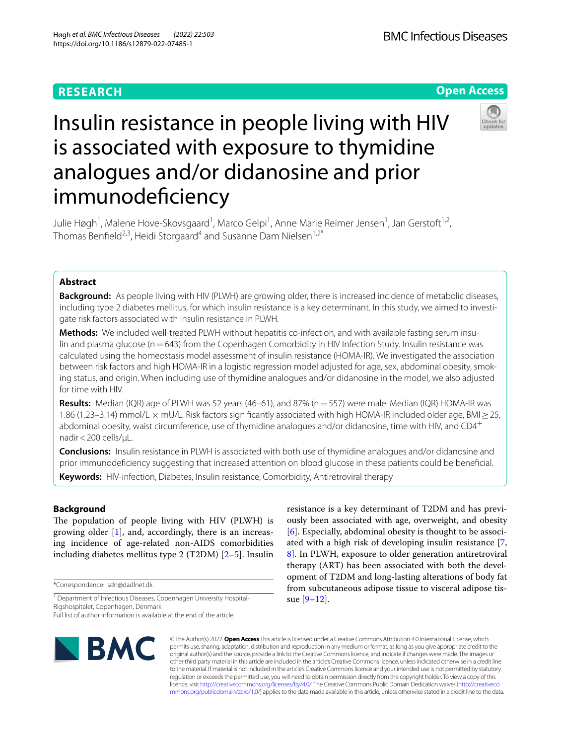# **RESEARCH**



# Insulin resistance in people living with HIV is associated with exposure to thymidine analogues and/or didanosine and prior immunodefciency



Julie Høgh<sup>1</sup>, Malene Hove-Skovsgaard<sup>1</sup>, Marco Gelpi<sup>1</sup>, Anne Marie Reimer Jensen<sup>1</sup>, Jan Gerstoft<sup>1,2</sup>, Thomas Benfield<sup>2,3</sup>, Heidi Storgaard<sup>4</sup> and Susanne Dam Nielsen<sup>1,2\*</sup>

# **Abstract**

**Background:** As people living with HIV (PLWH) are growing older, there is increased incidence of metabolic diseases, including type 2 diabetes mellitus, for which insulin resistance is a key determinant. In this study, we aimed to investigate risk factors associated with insulin resistance in PLWH.

Methods: We included well-treated PLWH without hepatitis co-infection, and with available fasting serum insulin and plasma glucose (n=643) from the Copenhagen Comorbidity in HIV Infection Study. Insulin resistance was calculated using the homeostasis model assessment of insulin resistance (HOMA-IR). We investigated the association between risk factors and high HOMA-IR in a logistic regression model adjusted for age, sex, abdominal obesity, smok‑ ing status, and origin. When including use of thymidine analogues and/or didanosine in the model, we also adjusted for time with HIV.

**Results:** Median (IQR) age of PLWH was 52 years (46–61), and 87% (n=557) were male. Median (IQR) HOMA-IR was 1.86 (1.23–3.14) mmol/L × mU/L. Risk factors signifcantly associated with high HOMA-IR included older age, BMI≥25, abdominal obesity, waist circumference, use of thymidine analogues and/or didanosine, time with HIV, and CD4<sup>+</sup> nadir<200 cells/µL.

**Conclusions:** Insulin resistance in PLWH is associated with both use of thymidine analogues and/or didanosine and prior immunodefciency suggesting that increased attention on blood glucose in these patients could be benefcial. **Keywords:** HIV-infection, Diabetes, Insulin resistance, Comorbidity, Antiretroviral therapy

# **Background**

The population of people living with HIV (PLWH) is growing older [[1\]](#page-4-0), and, accordingly, there is an increasing incidence of age-related non-AIDS comorbidities including diabetes mellitus type 2 (T2DM) [\[2–](#page-4-1)[5\]](#page-5-0). Insulin

\*Correspondence: sdn@dadlnet.dk

Full list of author information is available at the end of the article



resistance is a key determinant of T2DM and has previously been associated with age, overweight, and obesity [[6\]](#page-5-1). Especially, abdominal obesity is thought to be associated with a high risk of developing insulin resistance [\[7](#page-5-2), [8\]](#page-5-3). In PLWH, exposure to older generation antiretroviral therapy (ART) has been associated with both the development of T2DM and long-lasting alterations of body fat from subcutaneous adipose tissue to visceral adipose tissue [[9–](#page-5-4)[12](#page-5-5)].

© The Author(s) 2022. **Open Access** This article is licensed under a Creative Commons Attribution 4.0 International License, which permits use, sharing, adaptation, distribution and reproduction in any medium or format, as long as you give appropriate credit to the original author(s) and the source, provide a link to the Creative Commons licence, and indicate if changes were made. The images or other third party material in this article are included in the article's Creative Commons licence, unless indicated otherwise in a credit line to the material. If material is not included in the article's Creative Commons licence and your intended use is not permitted by statutory regulation or exceeds the permitted use, you will need to obtain permission directly from the copyright holder. To view a copy of this licence, visit [http://creativecommons.org/licenses/by/4.0/.](http://creativecommons.org/licenses/by/4.0/) The Creative Commons Public Domain Dedication waiver ([http://creativeco](http://creativecommons.org/publicdomain/zero/1.0/) [mmons.org/publicdomain/zero/1.0/](http://creativecommons.org/publicdomain/zero/1.0/)) applies to the data made available in this article, unless otherwise stated in a credit line to the data.

<sup>&</sup>lt;sup>1</sup> Department of Infectious Diseases, Copenhagen University Hospital-Rigshospitalet, Copenhagen, Denmark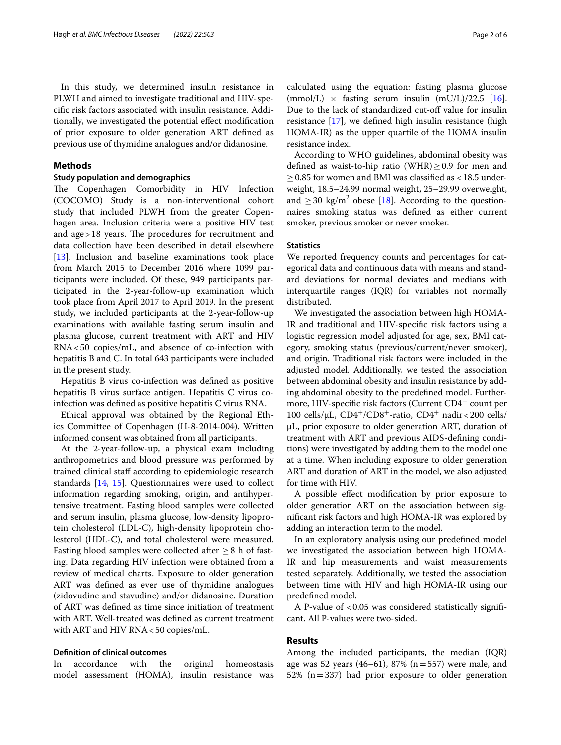In this study, we determined insulin resistance in PLWH and aimed to investigate traditional and HIV-specifc risk factors associated with insulin resistance. Additionally, we investigated the potential efect modifcation of prior exposure to older generation ART defned as previous use of thymidine analogues and/or didanosine.

## **Methods**

## **Study population and demographics**

The Copenhagen Comorbidity in HIV Infection (COCOMO) Study is a non-interventional cohort study that included PLWH from the greater Copenhagen area. Inclusion criteria were a positive HIV test and  $age > 18$  years. The procedures for recruitment and data collection have been described in detail elsewhere [[13\]](#page-5-6). Inclusion and baseline examinations took place from March 2015 to December 2016 where 1099 participants were included. Of these, 949 participants participated in the 2-year-follow-up examination which took place from April 2017 to April 2019. In the present study, we included participants at the 2-year-follow-up examinations with available fasting serum insulin and plasma glucose, current treatment with ART and HIV RNA<50 copies/mL, and absence of co-infection with hepatitis B and C. In total 643 participants were included in the present study.

Hepatitis B virus co-infection was defned as positive hepatitis B virus surface antigen. Hepatitis C virus coinfection was defned as positive hepatitis C virus RNA.

Ethical approval was obtained by the Regional Ethics Committee of Copenhagen (H-8-2014-004). Written informed consent was obtained from all participants.

At the 2-year-follow-up, a physical exam including anthropometrics and blood pressure was performed by trained clinical staf according to epidemiologic research standards [\[14](#page-5-7), [15](#page-5-8)]. Questionnaires were used to collect information regarding smoking, origin, and antihypertensive treatment. Fasting blood samples were collected and serum insulin, plasma glucose, low-density lipoprotein cholesterol (LDL-C), high-density lipoprotein cholesterol (HDL-C), and total cholesterol were measured. Fasting blood samples were collected after  $>8$  h of fasting. Data regarding HIV infection were obtained from a review of medical charts. Exposure to older generation ART was defned as ever use of thymidine analogues (zidovudine and stavudine) and/or didanosine. Duration of ART was defned as time since initiation of treatment with ART. Well-treated was defned as current treatment with ART and HIV RNA < 50 copies/mL.

#### **Defnition of clinical outcomes**

In accordance with the original homeostasis model assessment (HOMA), insulin resistance was

calculated using the equation: fasting plasma glucose  $(mmol/L) \times$  fasting serum insulin  $(mU/L)/22.5$  [\[16](#page-5-9)]. Due to the lack of standardized cut-off value for insulin resistance [\[17\]](#page-5-10), we defned high insulin resistance (high HOMA-IR) as the upper quartile of the HOMA insulin resistance index.

According to WHO guidelines, abdominal obesity was defined as waist-to-hip ratio (WHR)  $\geq$  0.9 for men and  $\geq$  0.85 for women and BMI was classified as <18.5 underweight, 18.5–24.99 normal weight, 25–29.99 overweight, and  $\geq$  30 kg/m<sup>2</sup> obese [\[18\]](#page-5-11). According to the questionnaires smoking status was defned as either current smoker, previous smoker or never smoker.

# **Statistics**

We reported frequency counts and percentages for categorical data and continuous data with means and standard deviations for normal deviates and medians with interquartile ranges (IQR) for variables not normally distributed.

We investigated the association between high HOMA-IR and traditional and HIV-specifc risk factors using a logistic regression model adjusted for age, sex, BMI category, smoking status (previous/current/never smoker), and origin. Traditional risk factors were included in the adjusted model. Additionally, we tested the association between abdominal obesity and insulin resistance by adding abdominal obesity to the predefned model. Furthermore, HIV-specific risk factors (Current CD4<sup>+</sup> count per 100 cells/ $\mu$ L, CD4<sup>+</sup>/CD8<sup>+</sup>-ratio, CD4<sup>+</sup> nadir < 200 cells/ µL, prior exposure to older generation ART, duration of treatment with ART and previous AIDS-defning conditions) were investigated by adding them to the model one at a time. When including exposure to older generation ART and duration of ART in the model, we also adjusted for time with HIV.

A possible efect modifcation by prior exposure to older generation ART on the association between signifcant risk factors and high HOMA-IR was explored by adding an interaction term to the model.

In an exploratory analysis using our predefned model we investigated the association between high HOMA-IR and hip measurements and waist measurements tested separately. Additionally, we tested the association between time with HIV and high HOMA-IR using our predefned model.

A P-value of  $< 0.05$  was considered statistically significant. All P-values were two-sided.

## **Results**

Among the included participants, the median (IQR) age was 52 years (46–61), 87% ( $n=557$ ) were male, and 52% ( $n=337$ ) had prior exposure to older generation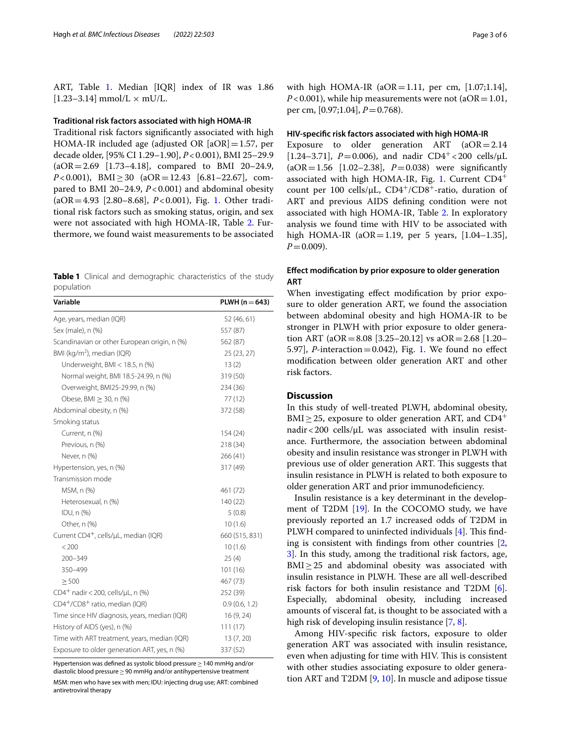ART, Table [1](#page-2-0). Median [IQR] index of IR was 1.86  $[1.23 - 3.14]$  mmol/L  $\times$  mU/L.

#### **Traditional risk factors associated with high HOMA‑IR**

Traditional risk factors signifcantly associated with high HOMA-IR included age (adjusted OR  $[aOR]=1.57$ , per decade older, [95% CI 1.29–1.90], *P*<0.001), BMI 25–29.9 (aOR=2.69 [1.73–4.18], compared to BMI 20–24.9, *P*<0.001), BMI≥30 (aOR=12.43 [6.81–22.67], compared to BMI 20–24.9, *P*<0.001) and abdominal obesity (aOR=4.93 [2.80–8.68], *P*<0.001), Fig. [1.](#page-3-0) Other traditional risk factors such as smoking status, origin, and sex were not associated with high HOMA-IR, Table [2.](#page-3-1) Furthermore, we found waist measurements to be associated

<span id="page-2-0"></span>**Table 1** Clinical and demographic characteristics of the study population

| Variable                                                 | $PLWH (n = 643)$ |  |
|----------------------------------------------------------|------------------|--|
| Age, years, median (IQR)                                 | 52 (46, 61)      |  |
| Sex (male), n (%)                                        | 557 (87)         |  |
| Scandinavian or other European origin, n (%)<br>562 (87) |                  |  |
| BMI (kg/m <sup>2</sup> ), median (IQR)                   | 25 (23, 27)      |  |
| Underweight, BMI < $18.5$ , n (%)                        | 13(2)            |  |
| Normal weight, BMI 18.5-24.99, n (%)                     | 319 (50)         |  |
| Overweight, BMI25-29.99, n (%)                           | 234 (36)         |  |
| Obese, BMI $\geq$ 30, n (%)                              | 77 (12)          |  |
| Abdominal obesity, n (%)                                 | 372 (58)         |  |
| Smoking status                                           |                  |  |
| Current, n (%)                                           | 154 (24)         |  |
| Previous, n (%)                                          | 218 (34)         |  |
| Never, n (%)                                             | 266 (41)         |  |
| Hypertension, yes, n (%)                                 | 317 (49)         |  |
| Transmission mode                                        |                  |  |
| MSM, n (%)                                               | 461 (72)         |  |
| Heterosexual, n (%)                                      | 140 (22)         |  |
| IDU, n (%)                                               | 5(0.8)           |  |
| Other, n (%)                                             | 10(1.6)          |  |
| Current CD4 <sup>+</sup> , cells/µL, median (IQR)        | 660 (515, 831)   |  |
| < 200                                                    | 10(1.6)          |  |
| 200-349                                                  | 25(4)            |  |
| 350-499                                                  | 101(16)          |  |
| > 500                                                    | 467 (73)         |  |
| CD4 <sup>+</sup> nadir < 200, cells/µL, n (%)            | 252 (39)         |  |
| CD4+/CD8+ ratio, median (IQR)                            | 0.9(0.6, 1.2)    |  |
| Time since HIV diagnosis, years, median (IQR)            | 16 (9, 24)       |  |
| History of AIDS (yes), n (%)<br>111(17)                  |                  |  |
| Time with ART treatment, years, median (IQR)             | 13 (7, 20)       |  |
| Exposure to older generation ART, yes, n (%)             | 337 (52)         |  |

Hypertension was defned as systolic blood pressure≥140 mmHg and/or diastolic blood pressure≥90 mmHg and/or antihypertensive treatment

MSM: men who have sex with men; IDU: injecting drug use; ART: combined antiretroviral therapy

with high HOMA-IR (aOR=1.11, per cm, [1.07;1.14],  $P < 0.001$ ), while hip measurements were not (aOR = 1.01, per cm, [0.97;1.04], *P*=0.768).

#### **HIV‑specifc risk factors associated with high HOMA‑IR**

Exposure to older generation  $ART$   $(aOR = 2.14)$ [1.24–3.71],  $P = 0.006$ ), and nadir CD4<sup>+</sup> <200 cells/ $\mu$ L (aOR=1.56 [1.02–2.38], *P*=0.038) were signifcantly associated with high HOMA-IR, Fig. [1](#page-3-0). Current  $CD4^+$ count per 100 cells/ $\mu$ L, CD4<sup>+</sup>/CD8<sup>+</sup>-ratio, duration of ART and previous AIDS defning condition were not associated with high HOMA-IR, Table [2.](#page-3-1) In exploratory analysis we found time with HIV to be associated with high HOMA-IR (aOR=1.19, per 5 years, [1.04-1.35],  $P=0.009$ ).

# **Efect modifcation by prior exposure to older generation ART**

When investigating efect modifcation by prior exposure to older generation ART, we found the association between abdominal obesity and high HOMA-IR to be stronger in PLWH with prior exposure to older generation ART (aOR=8.08 [3.25–20.12] vs aOR=2.68 [1.20– 5.97],  $P$ -interaction=0.042), Fig. [1.](#page-3-0) We found no effect modifcation between older generation ART and other risk factors.

# **Discussion**

In this study of well-treated PLWH, abdominal obesity, BMI $\geq$ 25, exposure to older generation ART, and CD4<sup>+</sup> nadir < 200 cells/ $\mu$ L was associated with insulin resistance. Furthermore, the association between abdominal obesity and insulin resistance was stronger in PLWH with previous use of older generation ART. This suggests that insulin resistance in PLWH is related to both exposure to older generation ART and prior immunodeficiency.

Insulin resistance is a key determinant in the development of T2DM [\[19](#page-5-12)]. In the COCOMO study, we have previously reported an 1.7 increased odds of T2DM in PLWH compared to uninfected individuals  $[4]$  $[4]$ . This finding is consistent with fndings from other countries [\[2](#page-4-1), [3\]](#page-4-2). In this study, among the traditional risk factors, age,  $BMI \geq 25$  and abdominal obesity was associated with insulin resistance in PLWH. These are all well-described risk factors for both insulin resistance and T2DM [\[6](#page-5-1)]. Especially, abdominal obesity, including increased amounts of visceral fat, is thought to be associated with a high risk of developing insulin resistance [\[7](#page-5-2), [8\]](#page-5-3).

Among HIV-specifc risk factors, exposure to older generation ART was associated with insulin resistance, even when adjusting for time with HIV. This is consistent with other studies associating exposure to older generation ART and T2DM [[9,](#page-5-4) [10\]](#page-5-14). In muscle and adipose tissue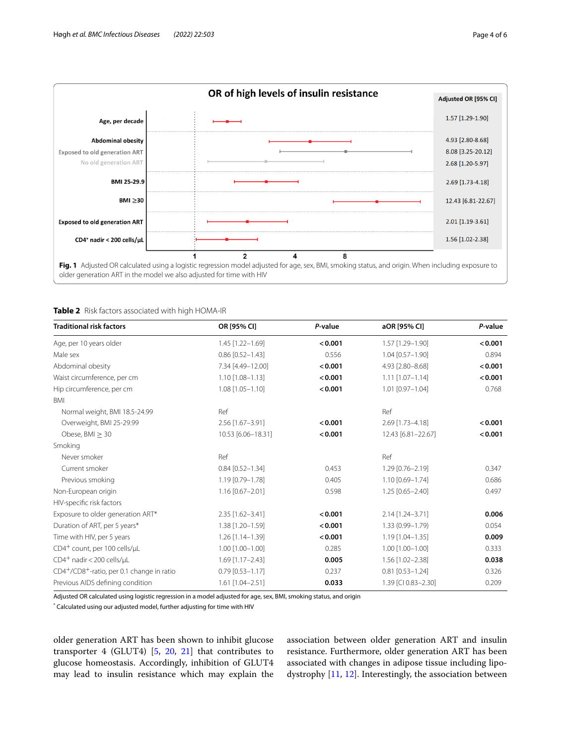

<span id="page-3-1"></span><span id="page-3-0"></span>**Table 2** Risk factors associated with high HOMA-IR

| <b>Traditional risk factors</b>          | OR [95% CI]            | P-value | aOR [95% CI]           | P-value |
|------------------------------------------|------------------------|---------|------------------------|---------|
| Age, per 10 years older                  | 1.45 [1.22-1.69]       | < 0.001 | 1.57 [1.29-1.90]       | < 0.001 |
| Male sex                                 | $0.86$ [0.52-1.43]     | 0.556   | 1.04 [0.57-1.90]       | 0.894   |
| Abdominal obesity                        | 7.34 [4.49-12.00]      | < 0.001 | 4.93 [2.80-8.68]       | < 0.001 |
| Waist circumference, per cm              | $1.10$ $[1.08 - 1.13]$ | < 0.001 | $1.11$ $[1.07 - 1.14]$ | < 0.001 |
| Hip circumference, per cm                | $1.08$ $[1.05 - 1.10]$ | < 0.001 | $1.01$ $[0.97 - 1.04]$ | 0.768   |
| <b>BMI</b>                               |                        |         |                        |         |
| Normal weight, BMI 18.5-24.99            | Ref                    |         | Ref                    |         |
| Overweight, BMI 25-29.99                 | 2.56 [1.67-3.91]       | < 0.001 | 2.69 [1.73-4.18]       | < 0.001 |
| Obese, $BMI > 30$                        | 10.53 [6.06-18.31]     | < 0.001 | 12.43 [6.81-22.67]     | < 0.001 |
| Smoking                                  |                        |         |                        |         |
| Never smoker                             | Ref                    |         | Ref                    |         |
| Current smoker                           | $0.84$ [0.52-1.34]     | 0.453   | $1.29$ [0.76-2.19]     | 0.347   |
| Previous smoking                         | 1.19 [0.79-1.78]       | 0.405   | 1.10 [0.69-1.74]       | 0.686   |
| Non-European origin                      | $1.16$ [0.67-2.01]     | 0.598   | $1.25$ $[0.65 - 2.40]$ | 0.497   |
| HIV-specific risk factors                |                        |         |                        |         |
| Exposure to older generation ART*        | 2.35 [1.62-3.41]       | < 0.001 | 2.14 [1.24-3.71]       | 0.006   |
| Duration of ART, per 5 years*            | 1.38 [1.20-1.59]       | < 0.001 | 1.33 (0.99-1.79)       | 0.054   |
| Time with HIV, per 5 years               | 1.26 [1.14-1.39]       | < 0.001 | 1.19 [1.04-1.35]       | 0.009   |
| CD4 <sup>+</sup> count, per 100 cells/µL | $1.00$ $[1.00 - 1.00]$ | 0.285   | $1.00$ $[1.00 - 1.00]$ | 0.333   |
| $CD4^+$ nadir < 200 cells/ $\mu$ L       | 1.69 [1.17-2.43]       | 0.005   | 1.56 [1.02-2.38]       | 0.038   |
| CD4+/CD8+-ratio, per 0.1 change in ratio | $0.79$ [0.53-1.17]     | 0.237   | $0.81$ [0.53-1.24]     | 0.326   |
| Previous AIDS defining condition         | 1.61 [1.04-2.51]       | 0.033   | 1.39 [CI 0.83-2.30]    | 0.209   |

Adjusted OR calculated using logistic regression in a model adjusted for age, sex, BMI, smoking status, and origin

\* Calculated using our adjusted model, further adjusting for time with HIV

older generation ART has been shown to inhibit glucose transporter 4 (GLUT4) [[5](#page-5-0), [20](#page-5-15), [21](#page-5-16)] that contributes to glucose homeostasis. Accordingly, inhibition of GLUT4 may lead to insulin resistance which may explain the association between older generation ART and insulin resistance. Furthermore, older generation ART has been associated with changes in adipose tissue including lipodystrophy [\[11](#page-5-17), [12](#page-5-5)]. Interestingly, the association between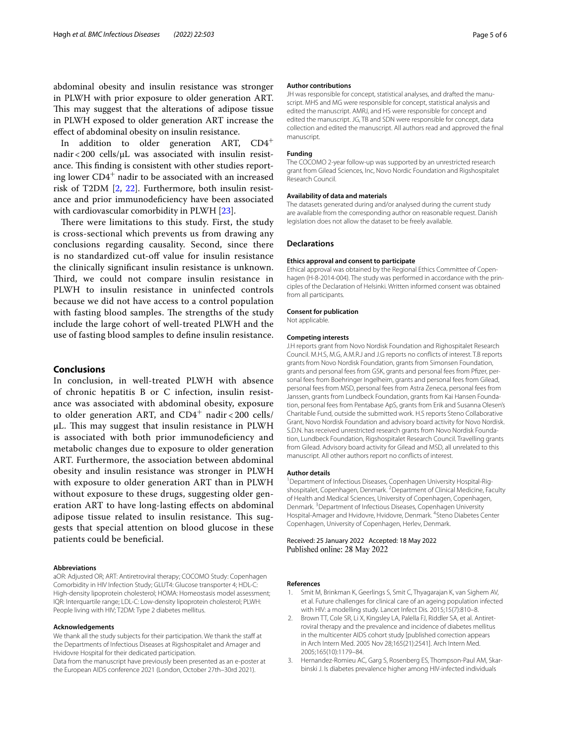abdominal obesity and insulin resistance was stronger in PLWH with prior exposure to older generation ART. This may suggest that the alterations of adipose tissue in PLWH exposed to older generation ART increase the efect of abdominal obesity on insulin resistance.

In addition to older generation ART, CD4<sup>+</sup> nadir < 200 cells/ $\mu$ L was associated with insulin resistance. This finding is consistent with other studies reporting lower CD4<sup>+</sup> nadir to be associated with an increased risk of T2DM [\[2](#page-4-1), [22](#page-5-18)]. Furthermore, both insulin resistance and prior immunodefciency have been associated with cardiovascular comorbidity in PLWH [\[23](#page-5-19)].

There were limitations to this study. First, the study is cross-sectional which prevents us from drawing any conclusions regarding causality. Second, since there is no standardized cut-off value for insulin resistance the clinically signifcant insulin resistance is unknown. Third, we could not compare insulin resistance in PLWH to insulin resistance in uninfected controls because we did not have access to a control population with fasting blood samples. The strengths of the study include the large cohort of well-treated PLWH and the use of fasting blood samples to defne insulin resistance.

## **Conclusions**

In conclusion, in well-treated PLWH with absence of chronic hepatitis B or C infection, insulin resistance was associated with abdominal obesity, exposure to older generation ART, and  $CD4^+$  nadir < 200 cells/  $\mu$ L. This may suggest that insulin resistance in PLWH is associated with both prior immunodefciency and metabolic changes due to exposure to older generation ART. Furthermore, the association between abdominal obesity and insulin resistance was stronger in PLWH with exposure to older generation ART than in PLWH without exposure to these drugs, suggesting older generation ART to have long-lasting efects on abdominal adipose tissue related to insulin resistance. This suggests that special attention on blood glucose in these patients could be beneficial.

#### **Abbreviations**

aOR: Adjusted OR; ART: Antiretroviral therapy; COCOMO Study: Copenhagen Comorbidity in HIV Infection Study; GLUT4: Glucose transporter 4; HDL-C: High-density lipoprotein cholesterol; HOMA: Homeostasis model assessment; IQR: Interquartile range; LDL-C: Low-density lipoprotein cholesterol; PLWH: People living with HIV; T2DM: Type 2 diabetes mellitus.

#### **Acknowledgements**

We thank all the study subjects for their participation. We thank the staff at the Departments of Infectious Diseases at Rigshospitalet and Amager and Hvidovre Hospital for their dedicated participation.

Data from the manuscript have previously been presented as an e-poster at the European AIDS conference 2021 (London, October 27th–30rd 2021).

#### **Author contributions**

JH was responsible for concept, statistical analyses, and drafted the manuscript. MHS and MG were responsible for concept, statistical analysis and edited the manuscript. AMRJ, and HS were responsible for concept and edited the manuscript. JG, TB and SDN were responsible for concept, data collection and edited the manuscript. All authors read and approved the fnal manuscript.

#### **Funding**

The COCOMO 2-year follow-up was supported by an unrestricted research grant from Gilead Sciences, Inc, Novo Nordic Foundation and Rigshospitalet Research Council.

#### **Availability of data and materials**

The datasets generated during and/or analysed during the current study are available from the corresponding author on reasonable request. Danish legislation does not allow the dataset to be freely available.

#### **Declarations**

#### **Ethics approval and consent to participate**

Ethical approval was obtained by the Regional Ethics Committee of Copenhagen (H-8-2014-004). The study was performed in accordance with the principles of the Declaration of Helsinki. Written informed consent was obtained from all participants.

# **Consent for publication**

Not applicable.

#### **Competing interests**

J.H reports grant from Novo Nordisk Foundation and Righospitalet Research Council. M.H.S, M.G, A.M.R.J and J.G reports no conficts of interest. T.B reports grants from Novo Nordisk Foundation, grants from Simonsen Foundation, grants and personal fees from GSK, grants and personal fees from Pfizer, personal fees from Boehringer Ingelheim, grants and personal fees from Gilead, personal fees from MSD, personal fees from Astra Zeneca, personal fees from Janssen, grants from Lundbeck Foundation, grants from Kai Hansen Foundation, personal fees from Pentabase ApS, grants from Erik and Susanna Olesen's Charitable Fund, outside the submitted work. H.S reports Steno Collaborative Grant, Novo Nordisk Foundation and advisory board activity for Novo Nordisk. S.D.N. has received unrestricted research grants from Novo Nordisk Foundation, Lundbeck Foundation, Rigshospitalet Research Council. Travelling grants from Gilead. Advisory board activity for Gilead and MSD, all unrelated to this manuscript. All other authors report no conficts of interest.

#### **Author details**

<sup>1</sup> Department of Infectious Diseases, Copenhagen University Hospital-Rigshospitalet, Copenhagen, Denmark. <sup>2</sup> Department of Clinical Medicine, Faculty of Health and Medical Sciences, University of Copenhagen, Copenhagen, Denmark.<sup>3</sup> Department of Infectious Diseases, Copenhagen University Hospital-Amager and Hvidovre, Hvidovre, Denmark. <sup>4</sup>Steno Diabetes Center Copenhagen, University of Copenhagen, Herlev, Denmark.

#### Received: 25 January 2022 Accepted: 18 May 2022 Published online: 28 May 2022

#### **References**

- <span id="page-4-0"></span>1. Smit M, Brinkman K, Geerlings S, Smit C, Thyagarajan K, van Sighem AV, et al. Future challenges for clinical care of an ageing population infected with HIV: a modelling study. Lancet Infect Dis. 2015;15(7):810–8.
- <span id="page-4-1"></span>2. Brown TT, Cole SR, Li X, Kingsley LA, Palella FJ, Riddler SA, et al. Antiretroviral therapy and the prevalence and incidence of diabetes mellitus in the multicenter AIDS cohort study [published correction appears in Arch Intern Med. 2005 Nov 28;165(21):2541]. Arch Intern Med. 2005;165(10):1179–84.
- <span id="page-4-2"></span>3. Hernandez-Romieu AC, Garg S, Rosenberg ES, Thompson-Paul AM, Skarbinski J. Is diabetes prevalence higher among HIV-infected individuals